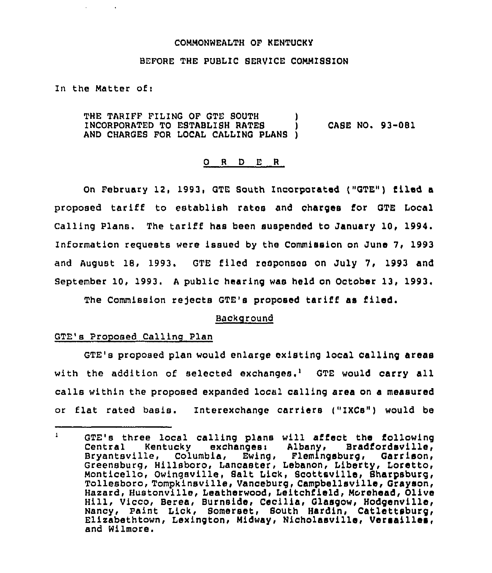#### COMMONWEALTH OF KENTUCKY

#### BEFORE THE PUBLIC BERVICE COMMISBION

In the Matter of:

THE TARIFF FILING OF GTE SOUTH INCORPORATED TO ESTABLISH RATES ) CASE NO. 93-081 AND CHARGES FOR LOCAL CALLING PLANS )

#### 0 <sup>R</sup> <sup>D</sup> E <sup>R</sup>

On February 12, 1993, GTE South Incorporated ("GTE") filed a proposed tariff to establish rates and charges for GTE Local Calling Plans. The tariff has been suspended to January 10, 1994, Information requests were issued by the Commission on June 7, 1993 and August 18, 1993. GTE filed responses on July 7, 1993 and September 10, 1993. <sup>A</sup> public hearing was held on October 13, 1993,

The Commission rejects GTE's proposed tariff as filed.

### Background

#### GTE's Proposed Calling Plan

GTE's proposed plan would enlarge existing local calling areas with the addition of selected exchanges.<sup>1</sup> GTE would carry all calls within the proposed expanded local calling area on a measured or flat rated basis. Interexchange carriers ("IXCs") would be

 $\mathbf{1}$ GTE's three local calling plans will affect the following<br>Central – Kentucky – exchanges: Albany, Bradfordsville, Central Kentucky exchanges: Albany, Bradfordsville,<br>Bryantsville, Columbia, Ewing, Flemingsburg, Garrison, Columbia, Ewing, Greensburg, Hillsboro, Lancaster, Lebanon, Liberty, Loretto, Monticello, Owingsville, Salt Lick, Scottsville, Sharpsburg, Tollesboro, Tompkinsville, Vanceburg, Campbellsville, Grayson, Hazard, Hustonville, Leatherwood, Leitchfield, Morehead, Olive Hill, Vicco, Berea, Burnside, Cecilia, Glasgow, Hodgenville, Nancy, Paint Lick, Bomerset, South Hardin, Catlettsburg, Elizabethtown, Lexington, Midway, Nicholasville, Versailles, and Wilmore.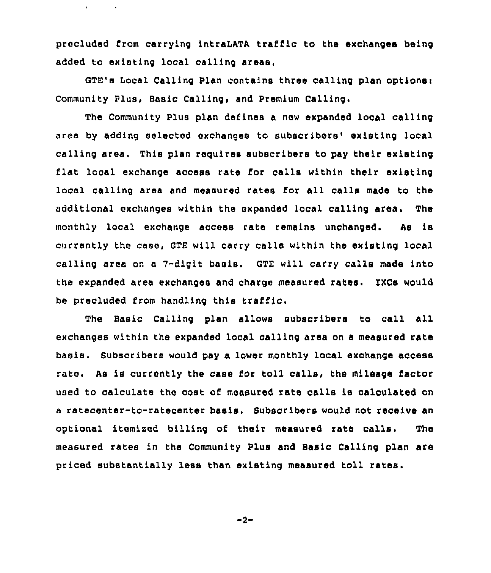precluded from carrying intraLATA traffic to the exchanges being added to existing local calling areas.

 $\mathbf{r}^{\pm}$ 

GTE's Local Calling Plan contains three calling plan options: Community Plus, Basic Calling, and Premium Calling.

The Community Plus plan defines a new expanded local calling area by adding selected exchanges to subscribers' existing local calling area. This plan requires subscribers to pay their existing flat local exchange access rate for calls within their existing local calling area and measured rates for all calls made to the additional exchanges within the expanded local calling area. The monthly local exchange access rate remains unchanged. As ie currently the case, GTE will carry calls within the existing local calling area on a 7-digit basis. GTE will carry calls made into the expanded area exchanges and charge measured rates. IXCs would be precluded from handling this traffic.

The Basic Calling plan allows subscribers to call all exchanges within the expanded local calling area on a measured rate basis. Subscribers would pay a lower monthly local exchange access rate. As is currently the case for toll calls, the mileage factor used to calculate the cost of measured rate calls is calculated on a ratecenter-to-ratecenter basis. Subscribers would not receive an optional itemized billing of their measured rats calls. The measured rates in the Community Plus and Basic Calling plan are priced substantially less than existing measured toll rates.

$$
-2-
$$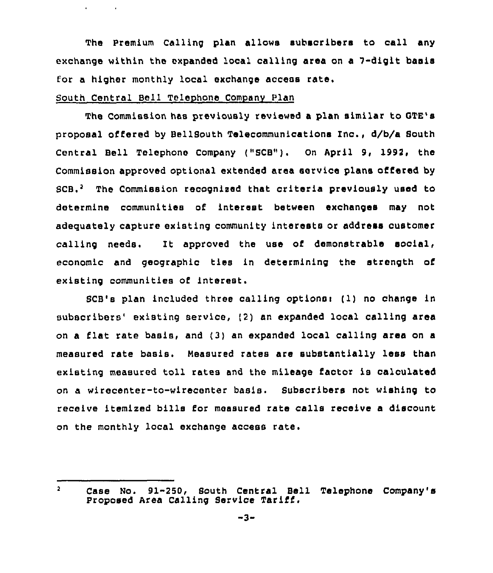The Premium Calling plan allows subscribers to call any exchange within the expanded local calling area on a 7-digit basis for a higher monthly local exchange access rate.

# South Central Bell Telephone Company Plan

The Commission has previously reviewed a plan similar to OTE's proposal offered by BellSouth Telecommunications Inc., d/b/a South Central Bell Telephone Company ("SCB"). On April 9, 1992, the Commission approved optional extended area service plans offered by  $SCB<sub>1</sub><sup>2</sup>$  The Commission recognized that criteria previously used to determine communities of interest between exchanges may not adeguately capture existing community interests or address customer calling needs. Zt approved the use of demonstrable social, economic and geographic ties in determining the strength of existing communities of interest.

SCB's plan included three calling optionsr ( 1) no change in subscribers' existing service, (2) an expanded local calling area on a flat rate basis, and (3) an expanded local calling area on <sup>a</sup> measured rate basis. measured rates are substantially less than existing measured toll rates and the mileage factor is calculated on a wirecenter-to-wirecenter basis. Subscribers not wishing to receive itemized bills for measured rate calls receive a discount on the monthly local exchange access rate.

 $2<sup>7</sup>$ Case No. 91-250, South Central Bell Telephone Company's Proposed Area Calling Service Tariff.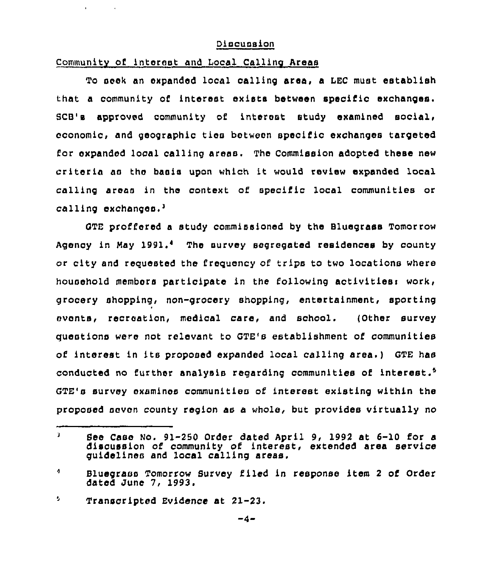### Oiscussion

## Communitv of interest and Local Calling Areas

To seek an expanded local calling area, a LEC must establish that a community of interest exists between specific exchanges. SCB's approved community of interest study examined social, economic, and geographic ties between specific exchanges targeted for expanded local calling areas. The Commission adopted these new criteria as the basis upon which it would review expanded local calling areas in the context of specific local communities or calling exchanges. $^3$ 

proffered a study commissioned by the Bluegrass Tomorrow Agency in May 1991.<sup>4</sup> The survey segregated residences by county or city and requested the frequency of trips to two locations where household members participate in the following activitiesi work, grocery shopping, non-grocery shopping, entertainment, sporting events, recreation, medical care, and school. (Other survey questions were not relevant to GTE's establishment of communities of interest in its proposed expanded local calling area.) GTE has conducted no further analysis regarding communities of interest. GTE's survey examines communities of interest existing within the proposed seven county region as a whole, but provides virtually no

 $\mathbf{a}$ See Case No. 91-250 Order dated April 9, 1992 at 6-10 for a discussion of community of interest, extended area service guidelines and local calling areas.

 $\ddot{ }$ Bluegrass Tomorrow Survey filed in response item <sup>2</sup> of Order dated June 7, 1993.

<sup>÷,</sup> Transcripted Evidence at 21-23.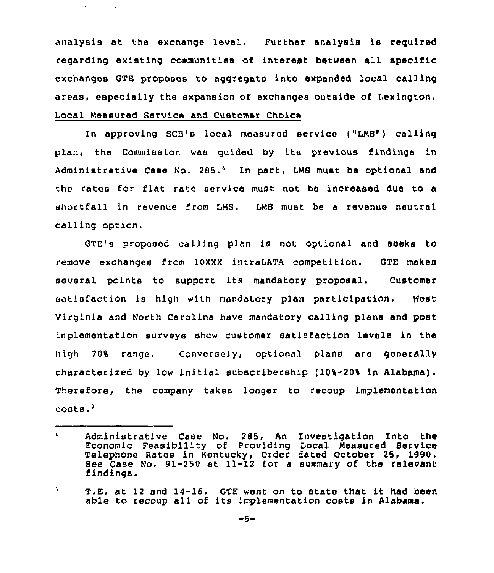analysis at the exchange level. Further analysis is reguired regarding existing communities of interest between all specific exchanges GTE proposes to aggregate into expanded local calling areas, especially the expansion of exchanges outside of Lexington. Local Measured Service and Customer Choice

 $\mathbf{A}^{\text{max}}$ 

 $\sim 10^7$ 

In approving SCB's local measured service ("LMS") calling plan, the Commission was guided by its previous findings in Administrative Case No. 285.<sup>6</sup> In part, LMS must be optional and the rates for flat rate service must not be increased due to a shortfall in revenue from LMS. LMS must be a revenue neutral calling option.

GTE's proposed calling plan is not optional and seeks to remove exchanges from 10XXX intraLATA competition. GTE makes several points to support its mandatory proposal. Customer satisfaction is high with mandatory plan participation. West virginia and North carolina have mandatory calling plans and post implementation surveys show customer satisfaction levels in the high 70% range. Conversely, optional plans are generally characterised by low initial subscribership (10%-20% in Alabama). Therefore, the company takes longer to recoup implementation  $costs.$ 

<sup>6.</sup> Administrative Case No. 285, An Investigation Into the Economic Feasibility of Providing Local Measured Service Telephone Aates in Kentucky, Order dated October 25, 1990, See Case No. 91-250 at 11-12 for a summary of the relevant findings.

 $\mathcal{T}$ T.E. at <sup>12</sup> and 14-16. GTE went on to state that it had been able to recoup all of its implementation costs in Alabama.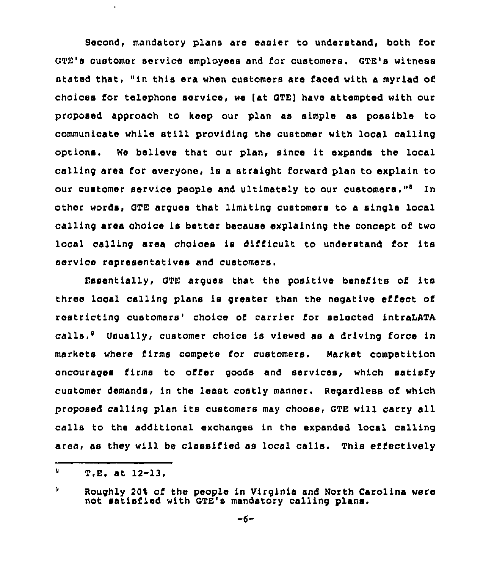Second, mandatory plans are easier to understand, both for GTE's customer service employees and for customers. GTE's witness stated that, "in this era when customers are faced with a myriad of choices for telephone service, we tat GTEl have attempted with our proposed approach to keep our plan as simple as possible to communicate while still providing the customer with local calling options. We believe that our plan, since it expands the local calling area for everyone, is <sup>a</sup> straight forward plan to explain to our customer service people and ultimately to our customers."<sup>8</sup> In other words, GTE argues that limiting customers to a single local calling area choice is better because explaining the concept of two local calling area choioes is difficult to understand for its service representatives and customers.

Essentially, GTE argues that the positive benefits of its three local calling plans is greater than the negative effect of restricting customers' choice of carrier for selected intraLATA calls.' Usually, customer choice is viewed as a driving force in markets where firms compete for customers. Market competition encourages firms to offer goods and services, which satisfy customer demands, in the least costly manner. Regardless of which proposed calling plan its customers may choose, GTE will carry all calls to the additional exchanges in the expanded local calling area, as they will be classified as local calls. This effectively

 $\mathbf{U}$  $T.E.$  at  $12-13.$ 

<sup>9</sup> Roughly 20% of the people in Virginia and North Carolina were not satisfied with GTE's mandatory calling plans.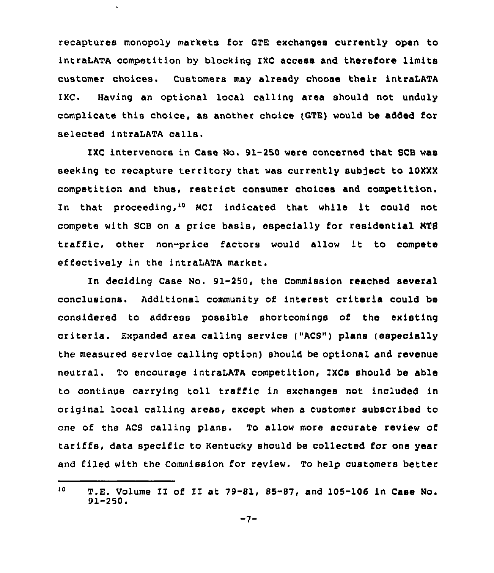recaptures monopoly markets for GTE exchanges currently open to intraLATA competition by blocking IXC access and therefore limits customer choices. Customers may already choose their intraLATA IXC. Having an optional local calling area should not unduly complicate this choice, as another choice (CTE) would be added for selected intraLATA calls.

IXC intervenors in Case Mo. 91-250 were concerned that SCB was seeking to recapture territory that was currently subject to 10XXX competition and thus, restrict consumer choices and competition. In that proceeding,<sup>10</sup> MCI indicated that while it could not compete with SCB on a price basis, especially for residential NTS traffic, other non-price factors would allow it to compete effectively in the intraLATA market.

In deciding Case Ho. 91-250, the Commission reached several conclusions. Additional community of interest criteria could bs considered to address possible shortcomings of the existing criteria. Expanded area calling service ("ACS") plans (especially the measured service calling option) should be optional snd revenue neutral. To encourage intraLATA competition, IXCs should be able to continue carrying toll traffic in exchanges not included in original local calling areas, except when a customer subscribed to one of the ACS calling plans. To allow more accurate review of tariffs, data specific to Kentucky should be collected for one year and filed with the Commission for review. To help customers better

 $10<sub>1</sub>$ T.E. Volume II of II at 79-81, 85-87, snd 105-106 in Case No.  $91 - 250$ .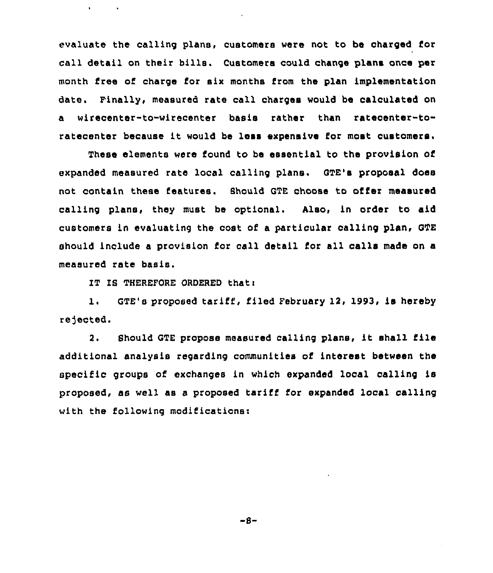evaluate the calling plans, customers were not to be charged for call detail on their bills. Customers could change plans once per month free of charge for six months from the plan implementation date. Finally, measured rate call charges would be calculated on a wirecenter-to-wirecenter basis rather than ratecenter-toratecenter because it would be less expensive for most customers.

These elements were found to be essential to the provision of expanded measured rate local calling plans. QTE's proposal does not contain these features. Should GTE choose to offer measured calling plans, they must be optional. Also, in order to aid customers in evaluating the cost of a particular calling plan, QTE should include a provision for call detail for all calls made on a measured rate basis.

IT IS THEREFORE ORDERED that:

 $\blacksquare$ 

1. GTE's proposed tariff, filed February 12, 1993, is hereby re)ected.

2. Should GTE propose measured calling plane, it shall file additional analysis regarding communities of interest between ths specific groups of exchanges in which expanded local calling is proposed, as well as <sup>a</sup> proposed tariff for expanded local calling with the following modifications:

 $-B-$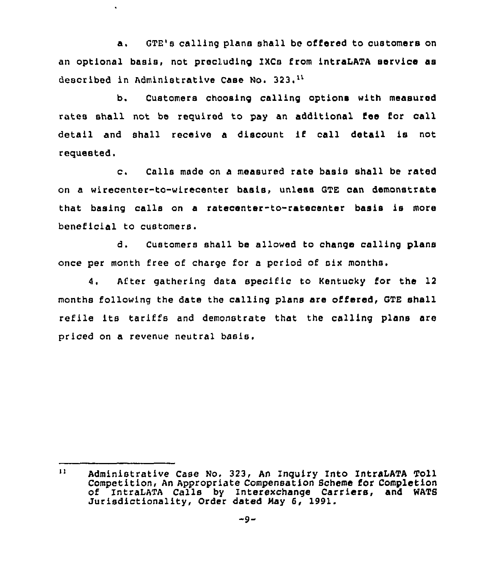a. GTE's calling plans shall be offered to customers on an optional basis, not precluding IXCs from intraLATA service as described in Administrative Case No. 323.<sup>11</sup>

 $\hat{\mathbf{v}}$ 

b. Customers choosing calling options with measured rates shall not be required to pay an additional fee for call detail and shall receive <sup>a</sup> discount if call detail is not requested,

c. Calls made on <sup>a</sup> measured rate basis shall be rated on a wirecenter-to-wirecenter basis, unless QTE can demonstrate that basing calls on a ratecenter-to-ratecenter basis is more beneficial to customers.

d. Customers shall be allowed to change calling plans once per month free of charge for a period of six months,

4. After gathering data specific to Kentucky for the 12 months following the date the calling plans are offered, GTE shall refile its tariffs and demonstrate that the calling plans are priced on a revenue neutral basis,

 $11<sup>1</sup>$ Administrative Case No. 323, An Inquiry Into IntraLATA Toll Competition, An Appropriate Compensation Scheme for Completion of IntraLATA Calls by Interexchange Carriers, and WATS Jurisdictionality, Order dated May 6, 1991.